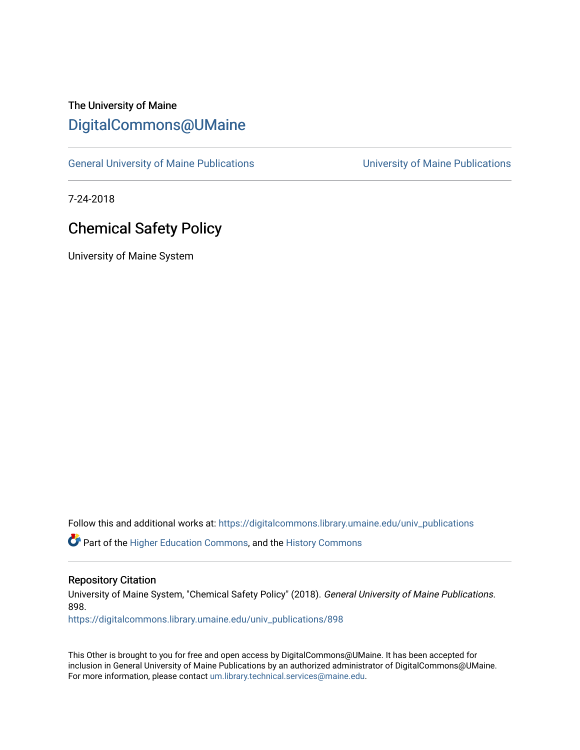# The University of Maine [DigitalCommons@UMaine](https://digitalcommons.library.umaine.edu/)

[General University of Maine Publications](https://digitalcommons.library.umaine.edu/univ_publications) [University of Maine Publications](https://digitalcommons.library.umaine.edu/umaine_publications) 

7-24-2018

# Chemical Safety Policy

University of Maine System

Follow this and additional works at: [https://digitalcommons.library.umaine.edu/univ\\_publications](https://digitalcommons.library.umaine.edu/univ_publications?utm_source=digitalcommons.library.umaine.edu%2Funiv_publications%2F898&utm_medium=PDF&utm_campaign=PDFCoverPages) 

**C** Part of the [Higher Education Commons,](http://network.bepress.com/hgg/discipline/1245?utm_source=digitalcommons.library.umaine.edu%2Funiv_publications%2F898&utm_medium=PDF&utm_campaign=PDFCoverPages) and the [History Commons](http://network.bepress.com/hgg/discipline/489?utm_source=digitalcommons.library.umaine.edu%2Funiv_publications%2F898&utm_medium=PDF&utm_campaign=PDFCoverPages)

#### Repository Citation

University of Maine System, "Chemical Safety Policy" (2018). General University of Maine Publications. 898.

[https://digitalcommons.library.umaine.edu/univ\\_publications/898](https://digitalcommons.library.umaine.edu/univ_publications/898?utm_source=digitalcommons.library.umaine.edu%2Funiv_publications%2F898&utm_medium=PDF&utm_campaign=PDFCoverPages) 

This Other is brought to you for free and open access by DigitalCommons@UMaine. It has been accepted for inclusion in General University of Maine Publications by an authorized administrator of DigitalCommons@UMaine. For more information, please contact [um.library.technical.services@maine.edu](mailto:um.library.technical.services@maine.edu).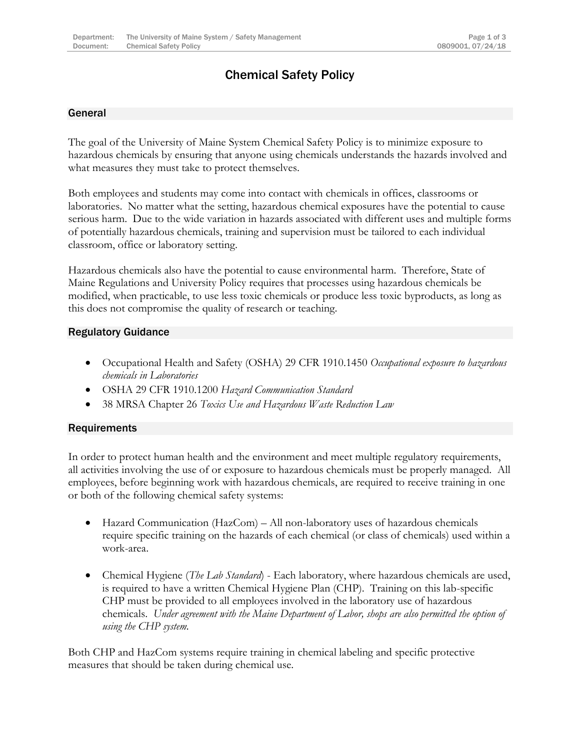# Chemical Safety Policy

#### General

The goal of the University of Maine System Chemical Safety Policy is to minimize exposure to hazardous chemicals by ensuring that anyone using chemicals understands the hazards involved and what measures they must take to protect themselves.

Both employees and students may come into contact with chemicals in offices, classrooms or laboratories. No matter what the setting, hazardous chemical exposures have the potential to cause serious harm. Due to the wide variation in hazards associated with different uses and multiple forms of potentially hazardous chemicals, training and supervision must be tailored to each individual classroom, office or laboratory setting.

Hazardous chemicals also have the potential to cause environmental harm. Therefore, State of Maine Regulations and University Policy requires that processes using hazardous chemicals be modified, when practicable, to use less toxic chemicals or produce less toxic byproducts, as long as this does not compromise the quality of research or teaching.

#### Regulatory Guidance

- Occupational Health and Safety (OSHA) 29 CFR 1910.1450 *Occupational exposure to hazardous chemicals in Laboratories*
- OSHA 29 CFR 1910.1200 *Hazard Communication Standard*
- 38 MRSA Chapter 26 *Toxics Use and Hazardous Waste Reduction Law*

## **Requirements**

In order to protect human health and the environment and meet multiple regulatory requirements, all activities involving the use of or exposure to hazardous chemicals must be properly managed. All employees, before beginning work with hazardous chemicals, are required to receive training in one or both of the following chemical safety systems:

- Hazard Communication (HazCom) All non-laboratory uses of hazardous chemicals require specific training on the hazards of each chemical (or class of chemicals) used within a work-area.
- Chemical Hygiene (*The Lab Standard*) Each laboratory, where hazardous chemicals are used, is required to have a written Chemical Hygiene Plan (CHP). Training on this lab-specific CHP must be provided to all employees involved in the laboratory use of hazardous chemicals. *Under agreement with the Maine Department of Labor, shops are also permitted the option of using the CHP system.*

Both CHP and HazCom systems require training in chemical labeling and specific protective measures that should be taken during chemical use.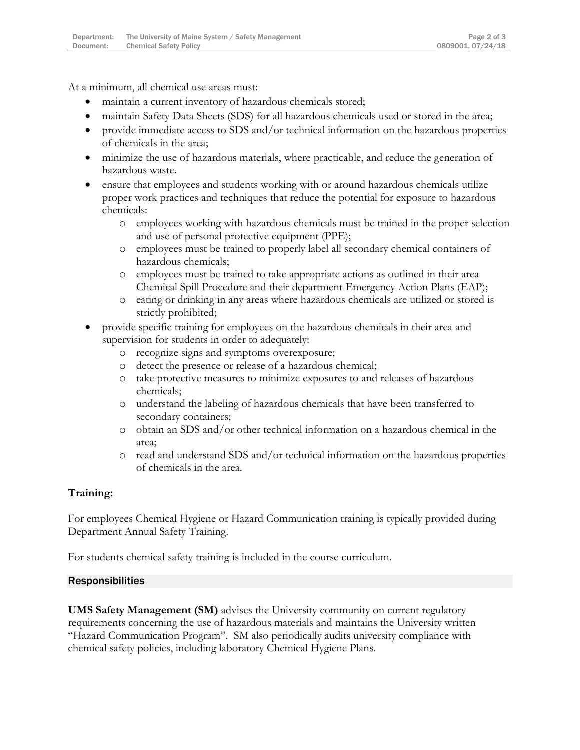At a minimum, all chemical use areas must:

- maintain a current inventory of hazardous chemicals stored;
- maintain Safety Data Sheets (SDS) for all hazardous chemicals used or stored in the area;
- provide immediate access to SDS and/or technical information on the hazardous properties of chemicals in the area;
- minimize the use of hazardous materials, where practicable, and reduce the generation of hazardous waste.
- ensure that employees and students working with or around hazardous chemicals utilize proper work practices and techniques that reduce the potential for exposure to hazardous chemicals:
	- o employees working with hazardous chemicals must be trained in the proper selection and use of personal protective equipment (PPE);
	- o employees must be trained to properly label all secondary chemical containers of hazardous chemicals;
	- o employees must be trained to take appropriate actions as outlined in their area Chemical Spill Procedure and their department Emergency Action Plans (EAP);
	- o eating or drinking in any areas where hazardous chemicals are utilized or stored is strictly prohibited;
- provide specific training for employees on the hazardous chemicals in their area and supervision for students in order to adequately:
	- o recognize signs and symptoms overexposure;
	- o detect the presence or release of a hazardous chemical;
	- o take protective measures to minimize exposures to and releases of hazardous chemicals;
	- o understand the labeling of hazardous chemicals that have been transferred to secondary containers;
	- o obtain an SDS and/or other technical information on a hazardous chemical in the area;
	- o read and understand SDS and/or technical information on the hazardous properties of chemicals in the area.

## **Training:**

For employees Chemical Hygiene or Hazard Communication training is typically provided during Department Annual Safety Training.

For students chemical safety training is included in the course curriculum.

#### Responsibilities

**UMS Safety Management (SM)** advises the University community on current regulatory requirements concerning the use of hazardous materials and maintains the University written "Hazard Communication Program". SM also periodically audits university compliance with chemical safety policies, including laboratory Chemical Hygiene Plans.